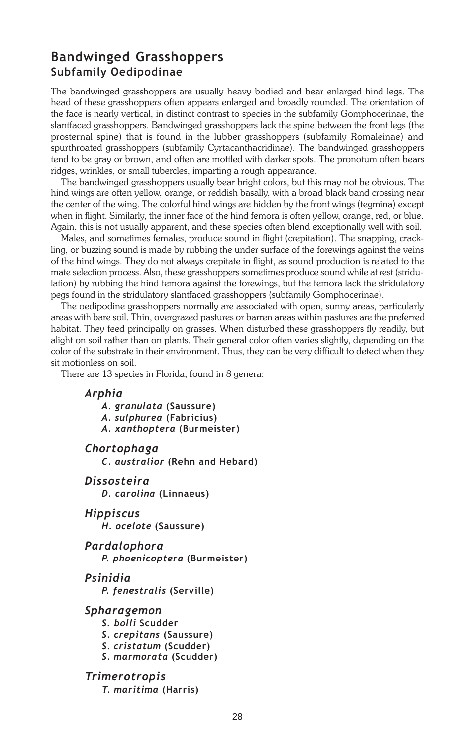# Bandwinged Grasshoppers Subfamily Oedipodinae

The bandwinged grasshoppers are usually heavy bodied and bear enlarged hind legs. The head of these grasshoppers often appears enlarged and broadly rounded. The orientation of the face is nearly vertical, in distinct contrast to species in the subfamily Gomphocerinae, the slantfaced grasshoppers. Bandwinged grasshoppers lack the spine between the front legs (the prosternal spine) that is found in the lubber grasshoppers (subfamily Romaleinae) and spurthroated grasshoppers (subfamily Cyrtacanthacridinae). The bandwinged grasshoppers tend to be gray or brown, and often are mottled with darker spots. The pronotum often bears ridges, wrinkles, or small tubercles, imparting a rough appearance.

The bandwinged grasshoppers usually bear bright colors, but this may not be obvious. The hind wings are often yellow, orange, or reddish basally, with a broad black band crossing near the center of the wing. The colorful hind wings are hidden by the front wings (tegmina) except when in flight. Similarly, the inner face of the hind femora is often yellow, orange, red, or blue. Again, this is not usually apparent, and these species often blend exceptionally well with soil.

Males, and sometimes females, produce sound in flight (crepitation). The snapping, crackling, or buzzing sound is made by rubbing the under surface of the forewings against the veins of the hind wings. They do not always crepitate in flight, as sound production is related to the mate selection process. Also, these grasshoppers sometimes produce sound while at rest (stridulation) by rubbing the hind femora against the forewings, but the femora lack the stridulatory pegs found in the stridulatory slantfaced grasshoppers (subfamily Gomphocerinae).

The oedipodine grasshoppers normally are associated with open, sunny areas, particularly areas with bare soil. Thin, overgrazed pastures or barren areas within pastures are the preferred habitat. They feed principally on grasses. When disturbed these grasshoppers fly readily, but alight on soil rather than on plants. Their general color often varies slightly, depending on the color of the substrate in their environment. Thus, they can be very difficult to detect when they sit motionless on soil.

There are 13 species in Florida, found in 8 genera:

### Arphia

- A. granulata (Saussure)
- A. sulphurea (Fabricius)
- A. xanthoptera (Burmeister)

Chortophaga

C. australior (Rehn and Hebard)

Dissosteira

D. carolina (Linnaeus)

Hippiscus

H. ocelote (Saussure)

Pardalophora P. phoenicoptera (Burmeister)

Psinidia

P. fenestralis (Serville)

#### Spharagemon

- S. bolli Scudder
- S. crepitans (Saussure)
- S. cristatum (Scudder)
- S. marmorata (Scudder)

Trimerotropis

T. maritima (Harris)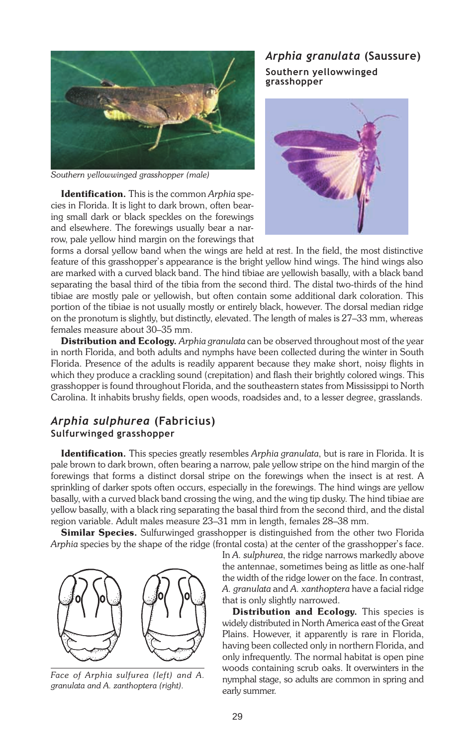

Southern yellowwinged grasshopper (male)

Identification. This is the common Arphia species in Florida. It is light to dark brown, often bearing small dark or black speckles on the forewings and elsewhere. The forewings usually bear a narrow, pale yellow hind margin on the forewings that

## Arphia granulata (Saussure) Southern yellowwinged grasshopper



forms a dorsal yellow band when the wings are held at rest. In the field, the most distinctive feature of this grasshopper's appearance is the bright yellow hind wings. The hind wings also are marked with a curved black band. The hind tibiae are yellowish basally, with a black band separating the basal third of the tibia from the second third. The distal two-thirds of the hind tibiae are mostly pale or yellowish, but often contain some additional dark coloration. This portion of the tibiae is not usually mostly or entirely black, however. The dorsal median ridge on the pronotum is slightly, but distinctly, elevated. The length of males is  $27-33$  mm, whereas females measure about 30-35 mm.

Distribution and Ecology. Arphia granulata can be observed throughout most of the year in north Florida, and both adults and nymphs have been collected during the winter in South Florida. Presence of the adults is readily apparent because they make short, noisy flights in which they produce a crackling sound (crepitation) and flash their brightly colored wings. This grasshopper is found throughout Florida, and the southeastern states from Mississippi to North Carolina. It inhabits brushy fields, open woods, roadsides and, to a lesser degree, grasslands.

## Arphia sulphurea (Fabricius) Sulfurwinged grasshopper

Identification. This species greatly resembles Arphia granulata, but is rare in Florida. It is pale brown to dark brown, often bearing a narrow, pale yellow stripe on the hind margin of the forewings that forms a distinct dorsal stripe on the forewings when the insect is at rest. A sprinkling of darker spots often occurs, especially in the forewings. The hind wings are yellow basally, with a curved black band crossing the wing, and the wing tip dusky. The hind tibiae are yellow basally, with a black ring separating the basal third from the second third, and the distal region variable. Adult males measure 23-31 mm in length, females 28-38 mm.

**Similar Species.** Sulfurwinged grasshopper is distinguished from the other two Florida Arphia species by the shape of the ridge (frontal costa) at the center of the grasshopper's face.



Face of Arphia sulfurea (left) and A. granulata and A. zanthoptera (right).

In A. sulphurea, the ridge narrows markedly above the antennae, sometimes being as little as one-half the width of the ridge lower on the face. In contrast, A. granulata and A. xanthoptera have a facial ridge that is only slightly narrowed.

Distribution and Ecology. This species is widely distributed in North America east of the Great Plains. However, it apparently is rare in Florida, having been collected only in northern Florida, and only infrequently. The normal habitat is open pine woods containing scrub oaks. It overwinters in the nymphal stage, so adults are common in spring and early summer.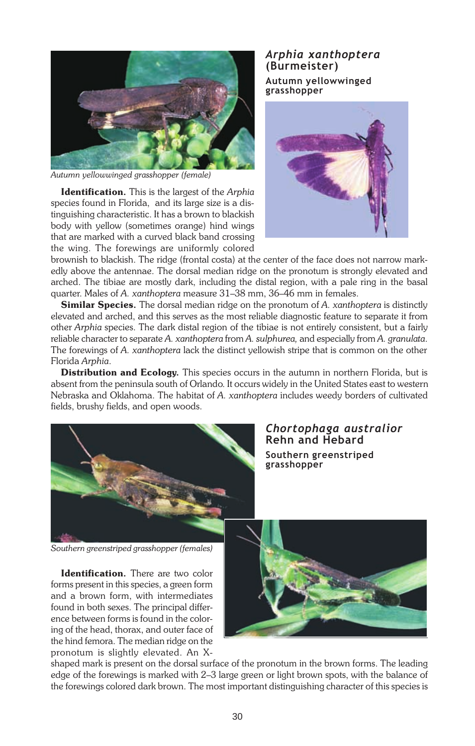

Autumn yellowwinged grasshopper (female)

Identification. This is the largest of the Arphia species found in Florida, and its large size is a distinguishing characteristic. It has a brown to blackish body with yellow (sometimes orange) hind wings that are marked with a curved black band crossing the wing. The forewings are uniformly colored

## Arphia xanthoptera (Burmeister) Autumn yellowwinged



brownish to blackish. The ridge (frontal costa) at the center of the face does not narrow markedly above the antennae. The dorsal median ridge on the pronotum is strongly elevated and arched. The tibiae are mostly dark, including the distal region, with a pale ring in the basal quarter. Males of A. xanthoptera measure 31-38 mm, 36-46 mm in females.

Similar Species. The dorsal median ridge on the pronotum of A. xanthoptera is distinctly elevated and arched, and this serves as the most reliable diagnostic feature to separate it from other Arphia species. The dark distal region of the tibiae is not entirely consistent, but a fairly reliable character to separate A. xanthoptera from A. sulphurea, and especially from A. granulata. The forewings of A. xanthoptera lack the distinct yellowish stripe that is common on the other Florida Arphia.

Distribution and Ecology. This species occurs in the autumn in northern Florida, but is absent from the peninsula south of Orlando. It occurs widely in the United States east to western Nebraska and Oklahoma. The habitat of A. xanthoptera includes weedy borders of cultivated fields, brushy fields, and open woods.



### Chortophaga australior Rehn and Hebard Southern greenstriped grasshopper

Southern greenstriped grasshopper (females)

Identification. There are two color forms present in this species, a green form and a brown form, with intermediates found in both sexes. The principal difference between forms is found in the coloring of the head, thorax, and outer face of the hind femora. The median ridge on the pronotum is slightly elevated. An X-



shaped mark is present on the dorsal surface of the pronotum in the brown forms. The leading edge of the forewings is marked with 2-3 large green or light brown spots, with the balance of the forewings colored dark brown. The most important distinguishing character of this species is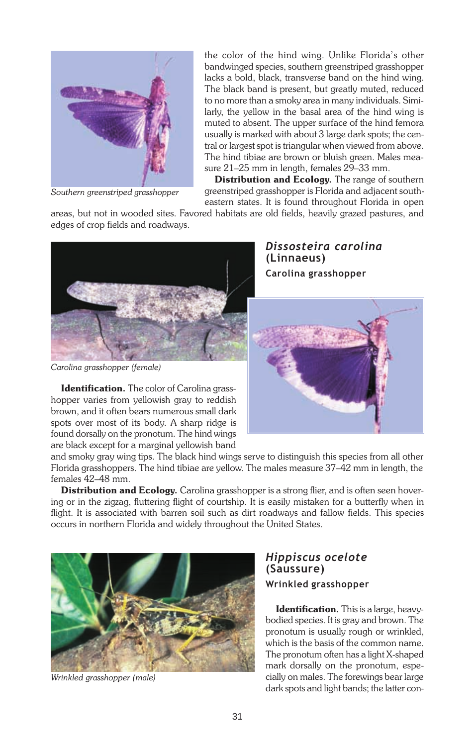

Southern greenstriped grasshopper

the color of the hind wing. Unlike Florida's other bandwinged species, southern greenstriped grasshopper lacks a bold, black, transverse band on the hind wing. The black band is present, but greatly muted, reduced to no more than a smoky area in many individuals. Similarly, the yellow in the basal area of the hind wing is muted to absent. The upper surface of the hind femora usually is marked with about 3 large dark spots; the central or largest spot is triangular when viewed from above. The hind tibiae are brown or bluish green. Males measure  $21-25$  mm in length, females  $29-33$  mm.

Distribution and Ecology. The range of southern greenstriped grasshopper is Florida and adjacent southeastern states. It is found throughout Florida in open

areas, but not in wooded sites. Favored habitats are old fields, heavily grazed pastures, and edges of crop fields and roadways.



Carolina grasshopper (female)

Identification. The color of Carolina grasshopper varies from yellowish gray to reddish brown, and it often bears numerous small dark spots over most of its body. A sharp ridge is found dorsally on the pronotum. The hind wings are black except for a marginal yellowish band Dissosteira carolina (Linnaeus) Carolina grasshopper



and smoky gray wing tips. The black hind wings serve to distinguish this species from all other Florida grasshoppers. The hind tibiae are yellow. The males measure 37–42 mm in length, the females 42–48 mm.

**Distribution and Ecology.** Carolina grasshopper is a strong flier, and is often seen hovering or in the zigzag, fluttering flight of courtship. It is easily mistaken for a butterfly when in flight. It is associated with barren soil such as dirt roadways and fallow fields. This species occurs in northern Florida and widely throughout the United States.



Wrinkled grasshopper (male)

### Hippiscus ocelote (Saussure) Wrinkled grasshopper

**Identification.** This is a large, heavybodied species. It is gray and brown. The pronotum is usually rough or wrinkled, which is the basis of the common name. The pronotum often has a light X-shaped mark dorsally on the pronotum, especially on males. The forewings bear large dark spots and light bands; the latter con-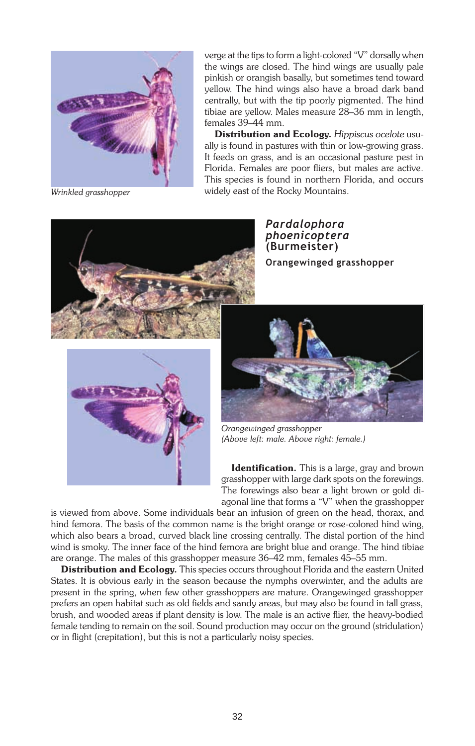

verge at the tips to form a light-colored "V" dorsally when the wings are closed. The hind wings are usually pale pinkish or orangish basally, but sometimes tend toward yellow. The hind wings also have a broad dark band centrally, but with the tip poorly pigmented. The hind tibiae are yellow. Males measure 28–36 mm in length, females 39-44 mm.

Distribution and Ecology. Hippiscus ocelote usually is found in pastures with thin or low-growing grass. It feeds on grass, and is an occasional pasture pest in Florida. Females are poor fliers, but males are active. This species is found in northern Florida, and occurs widely east of the Rocky Mountains.

Wrinkled grasshopper



Pardalophora phoenicoptera (Burmeister) Orangewinged grasshopper





Orangewinged grasshopper (Above left: male. Above right: female.)

**Identification.** This is a large, gray and brown grasshopper with large dark spots on the forewings. The forewings also bear a light brown or gold diagonal line that forms a "V" when the grasshopper

is viewed from above. Some individuals bear an infusion of green on the head, thorax, and hind femora. The basis of the common name is the bright orange or rose-colored hind wing, which also bears a broad, curved black line crossing centrally. The distal portion of the hind wind is smoky. The inner face of the hind femora are bright blue and orange. The hind tibiae are orange. The males of this grasshopper measure 36-42 mm, females 45-55 mm.

Distribution and Ecology. This species occurs throughout Florida and the eastern United States. It is obvious early in the season because the nymphs overwinter, and the adults are present in the spring, when few other grasshoppers are mature. Orangewinged grasshopper prefers an open habitat such as old fields and sandy areas, but may also be found in tall grass, brush, and wooded areas if plant density is low. The male is an active flier, the heavy-bodied female tending to remain on the soil. Sound production may occur on the ground (stridulation) or in flight (crepitation), but this is not a particularly noisy species.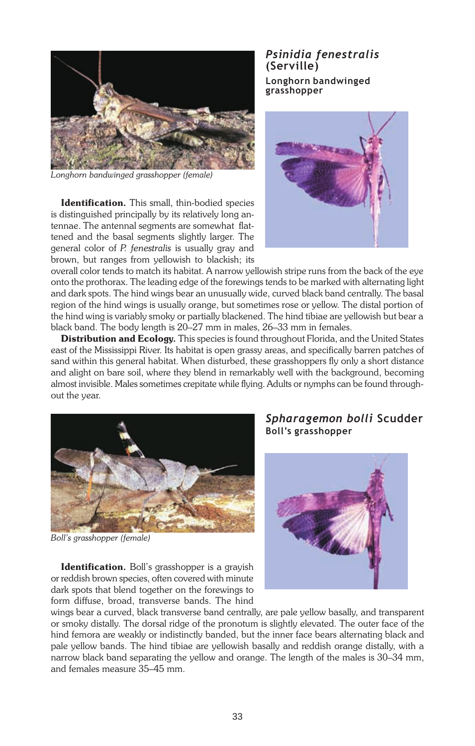

Longhorn bandwinged grasshopper (female)

Identification. This small, thin-bodied species is distinguished principally by its relatively long antennae. The antennal segments are somewhat flattened and the basal segments slightly larger. The general color of P. fenestralis is usually gray and brown, but ranges from yellowish to blackish; its

Psinidia fenestralis (Serville) Longhorn bandwinged grasshopper



overall color tends to match its habitat. A narrow yellowish stripe runs from the back of the eye onto the prothorax. The leading edge of the forewings tends to be marked with alternating light and dark spots. The hind wings bear an unusually wide, curved black band centrally. The basal region of the hind wings is usually orange, but sometimes rose or yellow. The distal portion of the hind wing is variably smoky or partially blackened. The hind tibiae are yellowish but bear a black band. The body length is 20–27 mm in males, 26–33 mm in females.

Distribution and Ecology. This species is found throughout Florida, and the United States east of the Mississippi River. Its habitat is open grassy areas, and specifically barren patches of sand within this general habitat. When disturbed, these grasshoppers fly only a short distance and alight on bare soil, where they blend in remarkably well with the background, becoming almost invisible. Males sometimes crepitate while flying. Adults or nymphs can be found throughout the year.



Boll's grasshopper (female)

**Identification.** Boll's grasshopper is a grayish or reddish brown species, often covered with minute dark spots that blend together on the forewings to form diffuse, broad, transverse bands. The hind

## Spharagemon bolli Scudder Boll's grasshopper



wings bear a curved, black transverse band centrally, are pale yellow basally, and transparent or smoky distally. The dorsal ridge of the pronotum is slightly elevated. The outer face of the hind femora are weakly or indistinctly banded, but the inner face bears alternating black and pale yellow bands. The hind tibiae are yellowish basally and reddish orange distally, with a narrow black band separating the yellow and orange. The length of the males is 30-34 mm, and females measure 35–45 mm.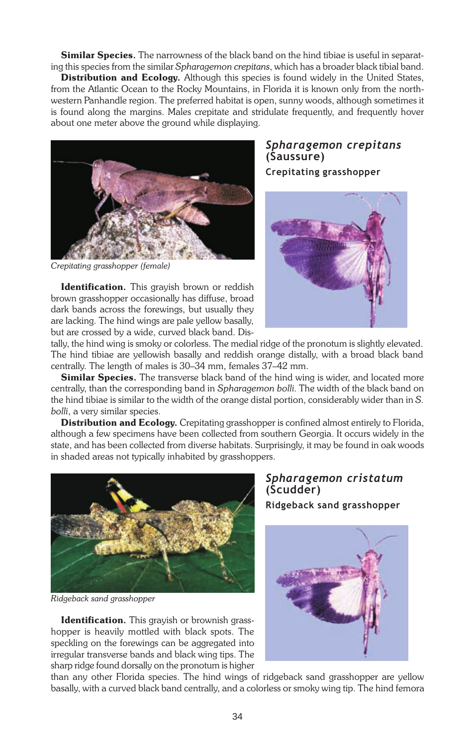**Similar Species.** The narrowness of the black band on the hind tibiae is useful in separating this species from the similar Spharagemon crepitans, which has a broader black tibial band.

Distribution and Ecology. Although this species is found widely in the United States, from the Atlantic Ocean to the Rocky Mountains, in Florida it is known only from the northwestern Panhandle region. The preferred habitat is open, sunny woods, although sometimes it is found along the margins. Males crepitate and stridulate frequently, and frequently hover about one meter above the ground while displaying.



Crepitating grasshopper (female)

Identification. This grayish brown or reddish brown grasshopper occasionally has diffuse, broad dark bands across the forewings, but usually they are lacking. The hind wings are pale yellow basally, but are crossed by a wide, curved black band. Dis-

## Spharagemon crepitans (Saussure)

Crepitating grasshopper



tally, the hind wing is smoky or colorless. The medial ridge of the pronotum is slightly elevated. The hind tibiae are yellowish basally and reddish orange distally, with a broad black band centrally. The length of males is 30–34 mm, females 37–42 mm.

Similar Species. The transverse black band of the hind wing is wider, and located more centrally, than the corresponding band in Spharagemon bolli. The width of the black band on the hind tibiae is similar to the width of the orange distal portion, considerably wider than in S. bolli, a very similar species.

**Distribution and Ecology.** Crepitating grasshopper is confined almost entirely to Florida, although a few specimens have been collected from southern Georgia. It occurs widely in the state, and has been collected from diverse habitats. Surprisingly, it may be found in oak woods in shaded areas not typically inhabited by grasshoppers.



Ridgeback sand grasshopper

Identification. This grayish or brownish grasshopper is heavily mottled with black spots. The speckling on the forewings can be aggregated into irregular transverse bands and black wing tips. The sharp ridge found dorsally on the pronotum is higher Spharagemon cristatum (Scudder)

Ridgeback sand grasshopper



than any other Florida species. The hind wings of ridgeback sand grasshopper are yellow basally, with a curved black band centrally, and a colorless or smoky wing tip. The hind femora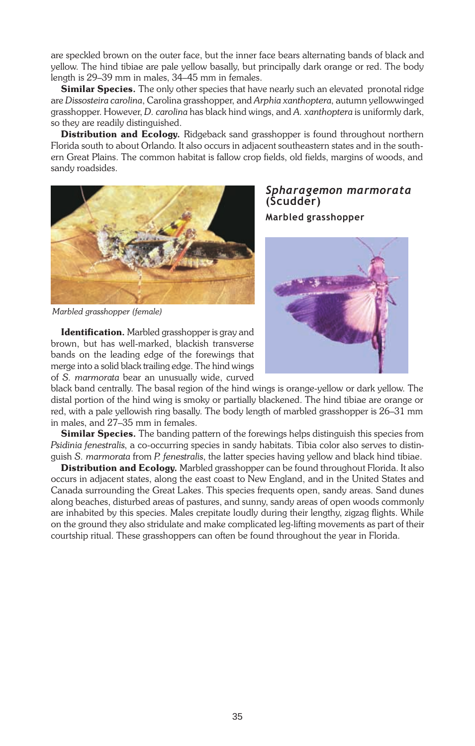are speckled brown on the outer face, but the inner face bears alternating bands of black and yellow. The hind tibiae are pale yellow basally, but principally dark orange or red. The body length is 29-39 mm in males, 34-45 mm in females.

**Similar Species.** The only other species that have nearly such an elevated pronotal ridge are Dissosteira carolina, Carolina grasshopper, and Arphia xanthoptera, autumn yellowwinged grasshopper. However, D. carolina has black hind wings, and A. xanthoptera is uniformly dark, so they are readily distinguished.

Distribution and Ecology. Ridgeback sand grasshopper is found throughout northern Florida south to about Orlando. It also occurs in adjacent southeastern states and in the southern Great Plains. The common habitat is fallow crop fields, old fields, margins of woods, and sandy roadsides.



Marbled grasshopper (female)

Identification. Marbled grasshopper is gray and brown, but has well-marked, blackish transverse bands on the leading edge of the forewings that merge into a solid black trailing edge. The hind wings of S. marmorata bear an unusually wide, curved Spharagemon marmorata (Scudder) Marbled grasshopper



black band centrally. The basal region of the hind wings is orange-yellow or dark yellow. The distal portion of the hind wing is smoky or partially blackened. The hind tibiae are orange or red, with a pale yellowish ring basally. The body length of marbled grasshopper is 26–31 mm in males, and 27–35 mm in females.

**Similar Species.** The banding pattern of the forewings helps distinguish this species from Psidinia fenestralis, a co-occurring species in sandy habitats. Tibia color also serves to distinguish S. marmorata from P. fenestralis, the latter species having yellow and black hind tibiae.

**Distribution and Ecology.** Marbled grasshopper can be found throughout Florida. It also occurs in adjacent states, along the east coast to New England, and in the United States and Canada surrounding the Great Lakes. This species frequents open, sandy areas. Sand dunes along beaches, disturbed areas of pastures, and sunny, sandy areas of open woods commonly are inhabited by this species. Males crepitate loudly during their lengthy, zigzag flights. While on the ground they also stridulate and make complicated leg-lifting movements as part of their courtship ritual. These grasshoppers can often be found throughout the year in Florida.